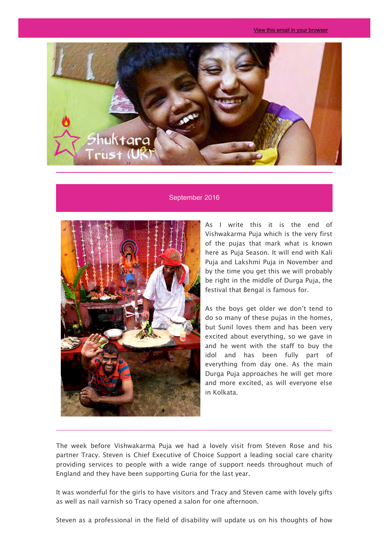

## September 2016



As I write this it is the end of Vishwakarma Puja which is the very first of the pujas that mark what is known here as Puja Season. It will end with Kali Puja and Lakshmi Puja in November and by the time you get this we will probably be right in the middle of Durga Puja, the festival that Bengal is famous for.

As the boys get older we don't tend to do so many of these pujas in the homes, but Sunil loves them and has been very excited about everything, so we gave in and he went with the staff to buy the idol and has been fully part of everything from day one. As the main Durga Puja approaches he will get more and more excited, as will everyone else in Kolkata.

The week before Vishwakarma Puja we had a lovely visit from Steven Rose and his partner Tracy. Steven is Chief Executive of Choice Support a leading social care charity providing services to people with a wide range of support needs throughout much of England and they have been supporting Guria for the last year.

It was wonderful for the girls to have visitors and Tracy and Steven came with lovely gifts as well as nail varnish so Tracy opened a salon for one afternoon.

Steven as a professional in the field of disability will update us on his thoughts of how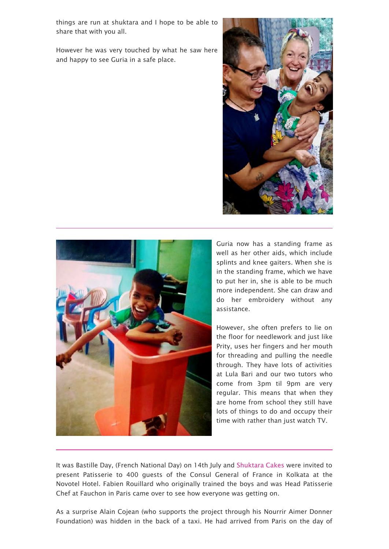things are run at shuktara and I hope to be able to share that with you all.

However he was very touched by what he saw here and happy to see Guria in a safe place.





Guria now has a standing frame as well as her other aids, which include splints and knee gaiters. When she is in the standing frame, which we have to put her in, she is able to be much more independent. She can draw and do her embroidery without any assistance.

However, she often prefers to lie on the floor for needlework and just like Prity, uses her fingers and her mouth for threading and pulling the needle through. They have lots of activities at Lula Bari and our two tutors who come from 3pm til 9pm are very regular. This means that when they are home from school they still have lots of things to do and occupy their time with rather than just watch TV.

It was Bastille Day, (French National Day) on 14th July and [Shuktara Cakes](http://shuktaracakes.com/) were invited to present Patisserie to 400 guests of the Consul General of France in Kolkata at the Novotel Hotel. Fabien Rouillard who originally trained the boys and was Head Patisserie Chef at Fauchon in Paris came over to see how everyone was getting on.

As a surprise Alain Cojean (who supports the project through his Nourrir Aimer Donner Foundation) was hidden in the back of a taxi. He had arrived from Paris on the day of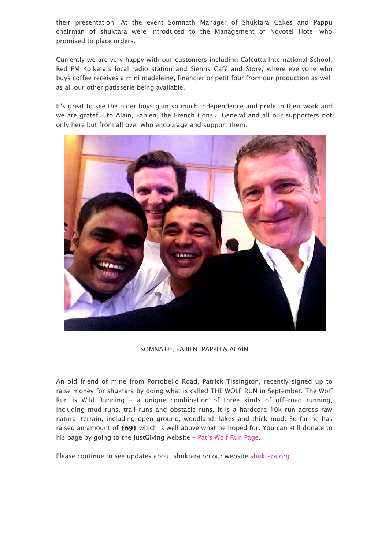their presentation. At the event Somnath Manager of Shuktara Cakes and Pappu chairman of shuktara were introduced to the Management of Novotel Hotel who promised to place orders.

Currently we are very happy with our customers including Calcutta International School, Red FM Kolkata's local radio station and Sienna Café and Store, where everyone who buys coffee receives a mini madeleine, financier or petit four from our production as well as all our other patisserie being available.

It's great to see the older boys gain so much independence and pride in their work and we are grateful to Alain, Fabien, the French Consul General and all our supporters not only here but from all over who encourage and support them.



SOMNATH, FABIEN, PAPPU & ALAIN

An old friend of mine from Portobello Road, Patrick Tissington, recently signed up to raise money for shuktara by doing what is called THE WOLF RUN in September. The Wolf Run is Wild Running - a unique combination of three kinds of off-road running, including mud runs, trail runs and obstacle runs. It is a hardcore 10k run across raw natural terrain, including open ground, woodland, lakes and thick mud. So far he has raised an amount of £691 which is well above what he hoped for. You can still donate to his page by going to the JustGiving website - [Pat's Wolf Run Page.](https://www.justgiving.com/fundraising/Patrick-Tissington1)

Please continue to see updates about shuktara on our website [shuktara.org](http://shuktara.org/)